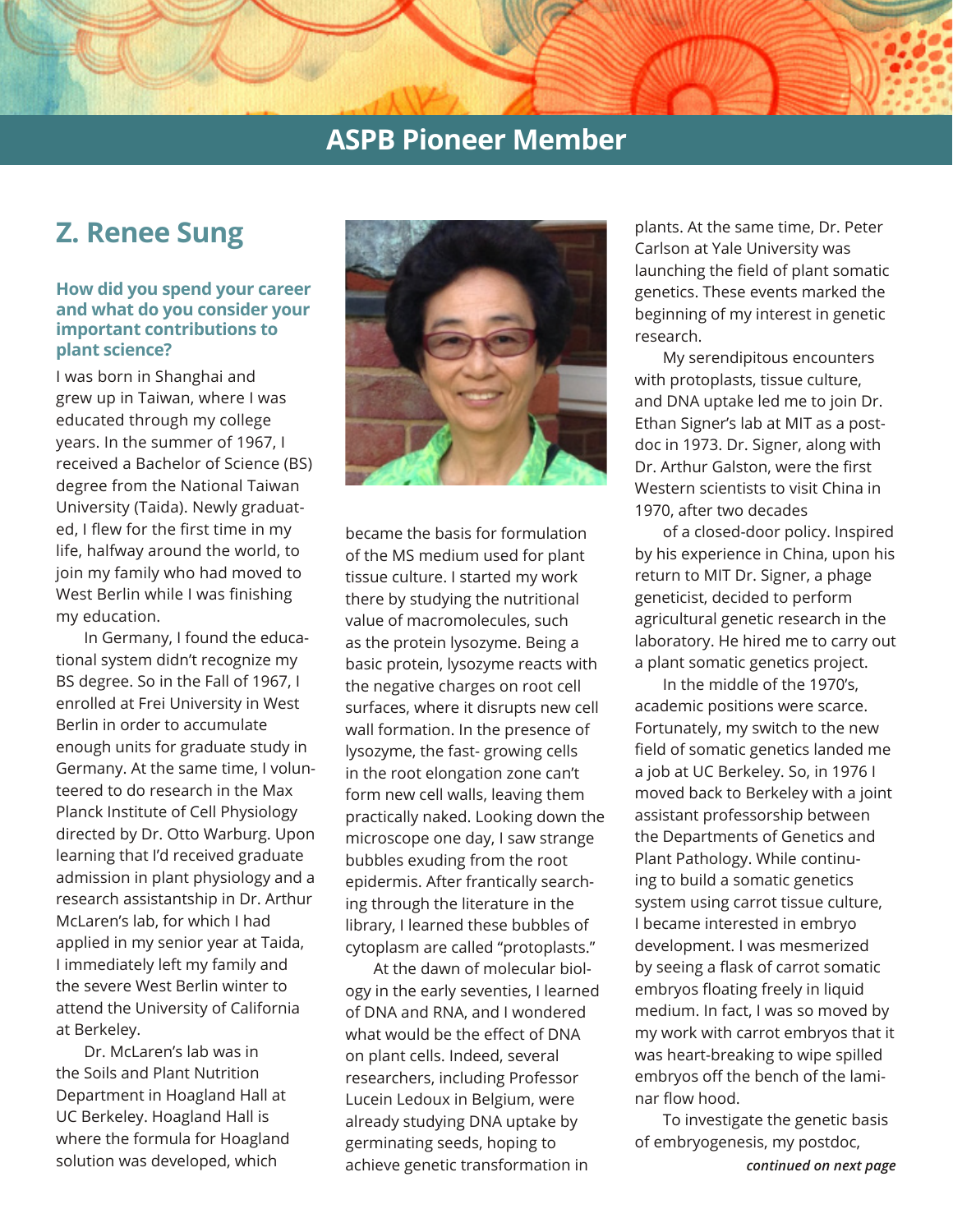### **ASPB Pioneer Member**

# **Z. Renee Sung**

### **How did you spend your career and what do you consider your important contributions to plant science?**

I was born in Shanghai and grew up in Taiwan, where I was educated through my college years. In the summer of 1967, I received a Bachelor of Science (BS) degree from the National Taiwan University (Taida). Newly graduated, I flew for the first time in my life, halfway around the world, to join my family who had moved to West Berlin while I was finishing my education.

In Germany, I found the educational system didn't recognize my BS degree. So in the Fall of 1967, I enrolled at Frei University in West Berlin in order to accumulate enough units for graduate study in Germany. At the same time, I volunteered to do research in the Max Planck Institute of Cell Physiology directed by Dr. Otto Warburg. Upon learning that I'd received graduate admission in plant physiology and a research assistantship in Dr. Arthur McLaren's lab, for which I had applied in my senior year at Taida, I immediately left my family and the severe West Berlin winter to attend the University of California at Berkeley.

Dr. McLaren's lab was in the Soils and Plant Nutrition Department in Hoagland Hall at UC Berkeley. Hoagland Hall is where the formula for Hoagland solution was developed, which



became the basis for formulation of the MS medium used for plant tissue culture. I started my work there by studying the nutritional value of macromolecules, such as the protein lysozyme. Being a basic protein, lysozyme reacts with the negative charges on root cell surfaces, where it disrupts new cell wall formation. In the presence of lysozyme, the fast- growing cells in the root elongation zone can't form new cell walls, leaving them practically naked. Looking down the microscope one day, I saw strange bubbles exuding from the root epidermis. After frantically searching through the literature in the library, I learned these bubbles of cytoplasm are called "protoplasts."

At the dawn of molecular biology in the early seventies, I learned of DNA and RNA, and I wondered what would be the effect of DNA on plant cells. Indeed, several researchers, including Professor Lucein Ledoux in Belgium, were already studying DNA uptake by germinating seeds, hoping to achieve genetic transformation in

plants. At the same time, Dr. Peter Carlson at Yale University was launching the field of plant somatic genetics. These events marked the beginning of my interest in genetic research.

My serendipitous encounters with protoplasts, tissue culture, and DNA uptake led me to join Dr. Ethan Signer's lab at MIT as a postdoc in 1973. Dr. Signer, along with Dr. Arthur Galston, were the first Western scientists to visit China in 1970, after two decades

of a closed-door policy. Inspired by his experience in China, upon his return to MIT Dr. Signer, a phage geneticist, decided to perform agricultural genetic research in the laboratory. He hired me to carry out a plant somatic genetics project.

In the middle of the 1970's, academic positions were scarce. Fortunately, my switch to the new field of somatic genetics landed me a job at UC Berkeley. So, in 1976 I moved back to Berkeley with a joint assistant professorship between the Departments of Genetics and Plant Pathology. While continuing to build a somatic genetics system using carrot tissue culture, I became interested in embryo development. I was mesmerized by seeing a flask of carrot somatic embryos floating freely in liquid medium. In fact, I was so moved by my work with carrot embryos that it was heart-breaking to wipe spilled embryos off the bench of the laminar flow hood.

To investigate the genetic basis of embryogenesis, my postdoc,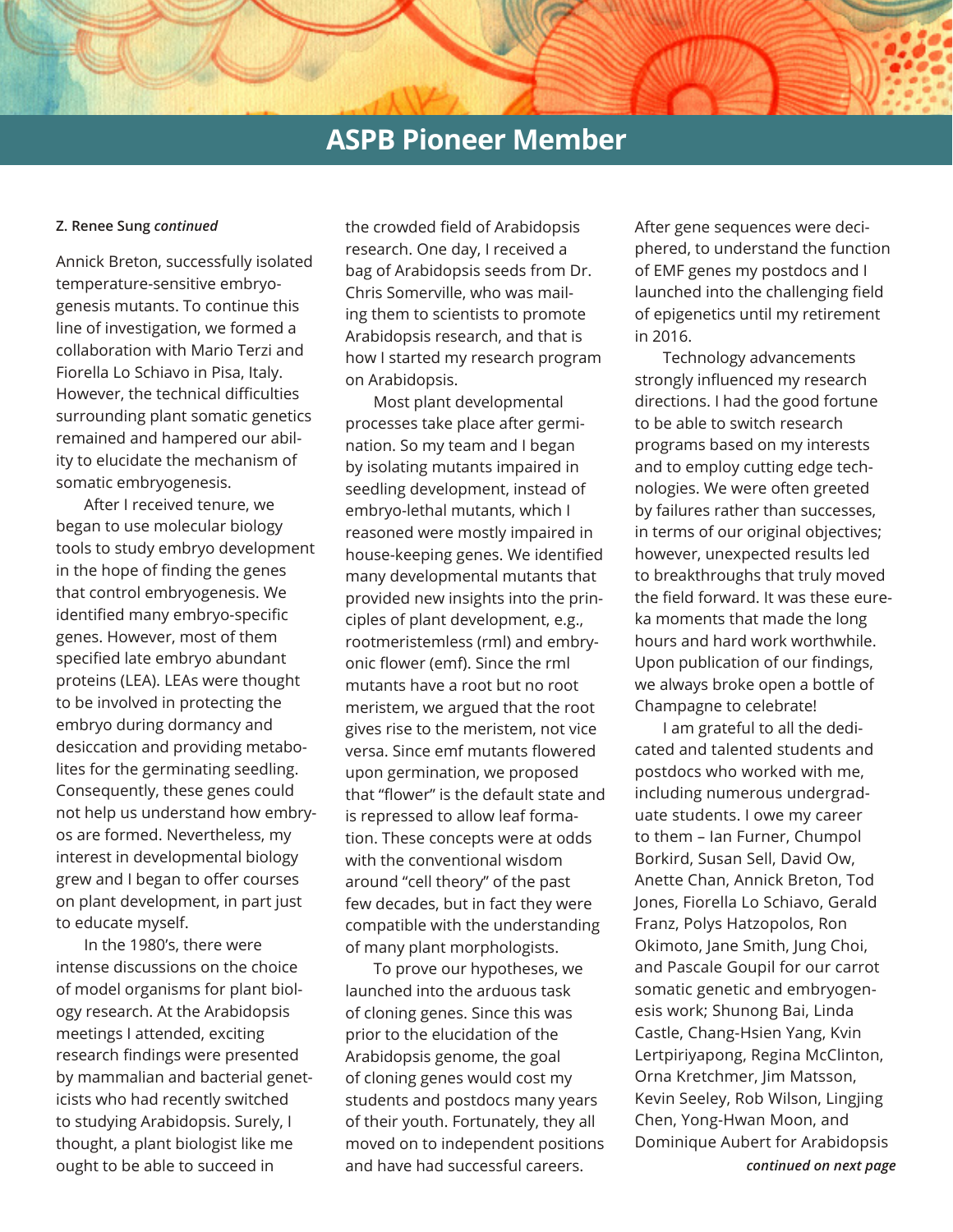# **ASPB Pioneer Member**

### **Z. Renee Sung** *continued*

Annick Breton, successfully isolated temperature-sensitive embryogenesis mutants. To continue this line of investigation, we formed a collaboration with Mario Terzi and Fiorella Lo Schiavo in Pisa, Italy. However, the technical difficulties surrounding plant somatic genetics remained and hampered our ability to elucidate the mechanism of somatic embryogenesis.

After I received tenure, we began to use molecular biology tools to study embryo development in the hope of finding the genes that control embryogenesis. We identified many embryo-specific genes. However, most of them specified late embryo abundant proteins (LEA). LEAs were thought to be involved in protecting the embryo during dormancy and desiccation and providing metabolites for the germinating seedling. Consequently, these genes could not help us understand how embryos are formed. Nevertheless, my interest in developmental biology grew and I began to offer courses on plant development, in part just to educate myself.

In the 1980's, there were intense discussions on the choice of model organisms for plant biology research. At the Arabidopsis meetings I attended, exciting research findings were presented by mammalian and bacterial geneticists who had recently switched to studying Arabidopsis. Surely, I thought, a plant biologist like me ought to be able to succeed in

the crowded field of Arabidopsis research. One day, I received a bag of Arabidopsis seeds from Dr. Chris Somerville, who was mailing them to scientists to promote Arabidopsis research, and that is how I started my research program on Arabidopsis.

Most plant developmental processes take place after germination. So my team and I began by isolating mutants impaired in seedling development, instead of embryo-lethal mutants, which I reasoned were mostly impaired in house-keeping genes. We identified many developmental mutants that provided new insights into the principles of plant development, e.g., rootmeristemless (rml) and embryonic flower (emf). Since the rml mutants have a root but no root meristem, we argued that the root gives rise to the meristem, not vice versa. Since emf mutants flowered upon germination, we proposed that "flower" is the default state and is repressed to allow leaf formation. These concepts were at odds with the conventional wisdom around "cell theory" of the past few decades, but in fact they were compatible with the understanding of many plant morphologists.

To prove our hypotheses, we launched into the arduous task of cloning genes. Since this was prior to the elucidation of the Arabidopsis genome, the goal of cloning genes would cost my students and postdocs many years of their youth. Fortunately, they all moved on to independent positions and have had successful careers.

After gene sequences were deciphered, to understand the function of EMF genes my postdocs and I launched into the challenging field of epigenetics until my retirement in 2016.

Technology advancements strongly influenced my research directions. I had the good fortune to be able to switch research programs based on my interests and to employ cutting edge technologies. We were often greeted by failures rather than successes, in terms of our original objectives; however, unexpected results led to breakthroughs that truly moved the field forward. It was these eureka moments that made the long hours and hard work worthwhile. Upon publication of our findings, we always broke open a bottle of Champagne to celebrate!

I am grateful to all the dedicated and talented students and postdocs who worked with me, including numerous undergraduate students. I owe my career to them – Ian Furner, Chumpol Borkird, Susan Sell, David Ow, Anette Chan, Annick Breton, Tod Jones, Fiorella Lo Schiavo, Gerald Franz, Polys Hatzopolos, Ron Okimoto, Jane Smith, Jung Choi, and Pascale Goupil for our carrot somatic genetic and embryogenesis work; Shunong Bai, Linda Castle, Chang-Hsien Yang, Kvin Lertpiriyapong, Regina McClinton, Orna Kretchmer, Jim Matsson, Kevin Seeley, Rob Wilson, Lingjing Chen, Yong-Hwan Moon, and Dominique Aubert for Arabidopsis *continued on next page*